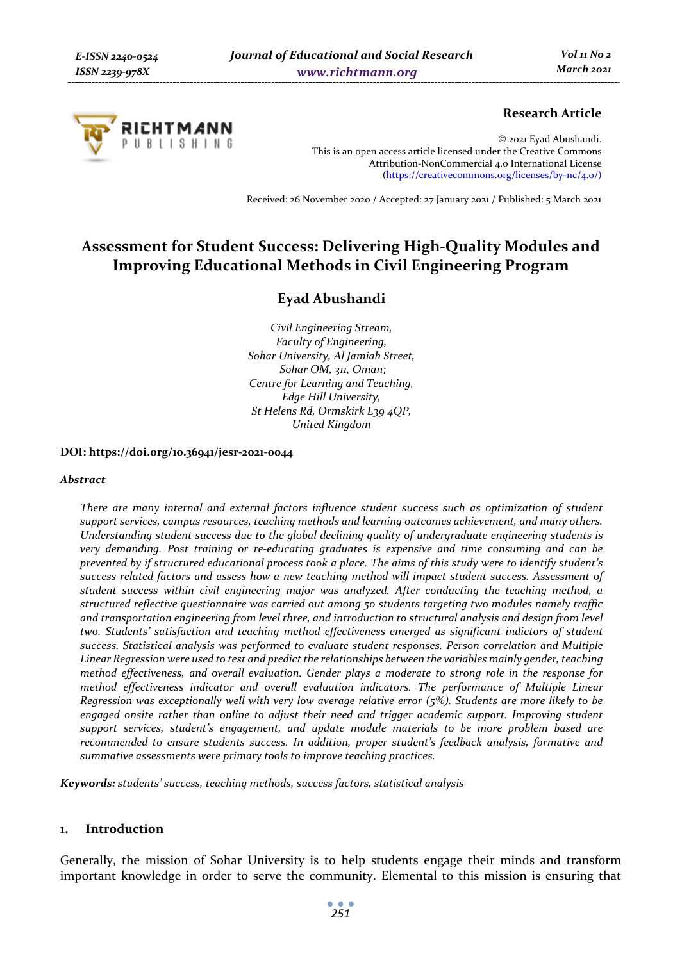

## **Research Article**

© 2021 Eyad Abushandi. This is an open access article licensed under the Creative Commons Attribution-NonCommercial 4.0 International License (https://creativecommons.org/licenses/by-nc/4.0/)

Received: 26 November 2020 / Accepted: 27 January 2021 / Published: 5 March 2021

# **Assessment for Student Success: Delivering High-Quality Modules and Improving Educational Methods in Civil Engineering Program**

## **Eyad Abushandi**

*Civil Engineering Stream, Faculty of Engineering, Sohar University, Al Jamiah Street, Sohar OM, 311, Oman; Centre for Learning and Teaching, Edge Hill University, St Helens Rd, Ormskirk L39 4QP, United Kingdom* 

#### **DOI: https://doi.org/10.36941/jesr-2021-0044**

#### *Abstract*

*There are many internal and external factors influence student success such as optimization of student support services, campus resources, teaching methods and learning outcomes achievement, and many others. Understanding student success due to the global declining quality of undergraduate engineering students is very demanding. Post training or re-educating graduates is expensive and time consuming and can be prevented by if structured educational process took a place. The aims of this study were to identify student's success related factors and assess how a new teaching method will impact student success. Assessment of student success within civil engineering major was analyzed. After conducting the teaching method, a structured reflective questionnaire was carried out among 50 students targeting two modules namely traffic and transportation engineering from level three, and introduction to structural analysis and design from level two. Students' satisfaction and teaching method effectiveness emerged as significant indictors of student success. Statistical analysis was performed to evaluate student responses. Person correlation and Multiple Linear Regression were used to test and predict the relationships between the variables mainly gender, teaching method effectiveness, and overall evaluation. Gender plays a moderate to strong role in the response for method effectiveness indicator and overall evaluation indicators. The performance of Multiple Linear Regression was exceptionally well with very low average relative error (5%). Students are more likely to be engaged onsite rather than online to adjust their need and trigger academic support. Improving student support services, student's engagement, and update module materials to be more problem based are recommended to ensure students success. In addition, proper student's feedback analysis, formative and summative assessments were primary tools to improve teaching practices.* 

*Keywords: students' success, teaching methods, success factors, statistical analysis* 

#### **1. Introduction**

Generally, the mission of Sohar University is to help students engage their minds and transform important knowledge in order to serve the community. Elemental to this mission is ensuring that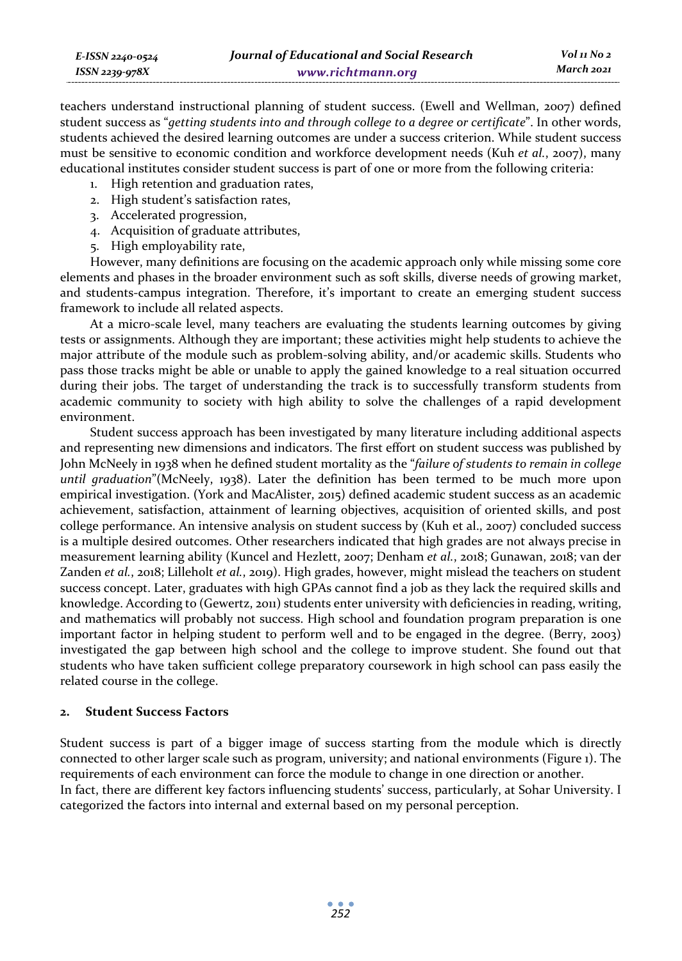| E-ISSN 2240-0524 | Journal of Educational and Social Research | Vol 11 No 2 |
|------------------|--------------------------------------------|-------------|
| ISSN 2239-978X   | www.richtmann.org                          | March 2021  |

teachers understand instructional planning of student success. (Ewell and Wellman, 2007) defined student success as "*getting students into and through college to a degree or certificate*". In other words, students achieved the desired learning outcomes are under a success criterion. While student success must be sensitive to economic condition and workforce development needs (Kuh *et al.*, 2007), many educational institutes consider student success is part of one or more from the following criteria:

- 1. High retention and graduation rates,
- 2. High student's satisfaction rates,
- 3. Accelerated progression,
- 4. Acquisition of graduate attributes,
- 5. High employability rate,

However, many definitions are focusing on the academic approach only while missing some core elements and phases in the broader environment such as soft skills, diverse needs of growing market, and students-campus integration. Therefore, it's important to create an emerging student success framework to include all related aspects.

At a micro-scale level, many teachers are evaluating the students learning outcomes by giving tests or assignments. Although they are important; these activities might help students to achieve the major attribute of the module such as problem-solving ability, and/or academic skills. Students who pass those tracks might be able or unable to apply the gained knowledge to a real situation occurred during their jobs. The target of understanding the track is to successfully transform students from academic community to society with high ability to solve the challenges of a rapid development environment.

Student success approach has been investigated by many literature including additional aspects and representing new dimensions and indicators. The first effort on student success was published by John McNeely in 1938 when he defined student mortality as the "*failure of students to remain in college until graduation*"(McNeely, 1938). Later the definition has been termed to be much more upon empirical investigation. (York and MacAlister, 2015) defined academic student success as an academic achievement, satisfaction, attainment of learning objectives, acquisition of oriented skills, and post college performance. An intensive analysis on student success by (Kuh et al., 2007) concluded success is a multiple desired outcomes. Other researchers indicated that high grades are not always precise in measurement learning ability (Kuncel and Hezlett, 2007; Denham *et al.*, 2018; Gunawan, 2018; van der Zanden *et al.*, 2018; Lilleholt *et al.*, 2019). High grades, however, might mislead the teachers on student success concept. Later, graduates with high GPAs cannot find a job as they lack the required skills and knowledge. According to (Gewertz, 2011) students enter university with deficiencies in reading, writing, and mathematics will probably not success. High school and foundation program preparation is one important factor in helping student to perform well and to be engaged in the degree. (Berry, 2003) investigated the gap between high school and the college to improve student. She found out that students who have taken sufficient college preparatory coursework in high school can pass easily the related course in the college.

#### **2. Student Success Factors**

Student success is part of a bigger image of success starting from the module which is directly connected to other larger scale such as program, university; and national environments (Figure 1). The requirements of each environment can force the module to change in one direction or another. In fact, there are different key factors influencing students' success, particularly, at Sohar University. I categorized the factors into internal and external based on my personal perception.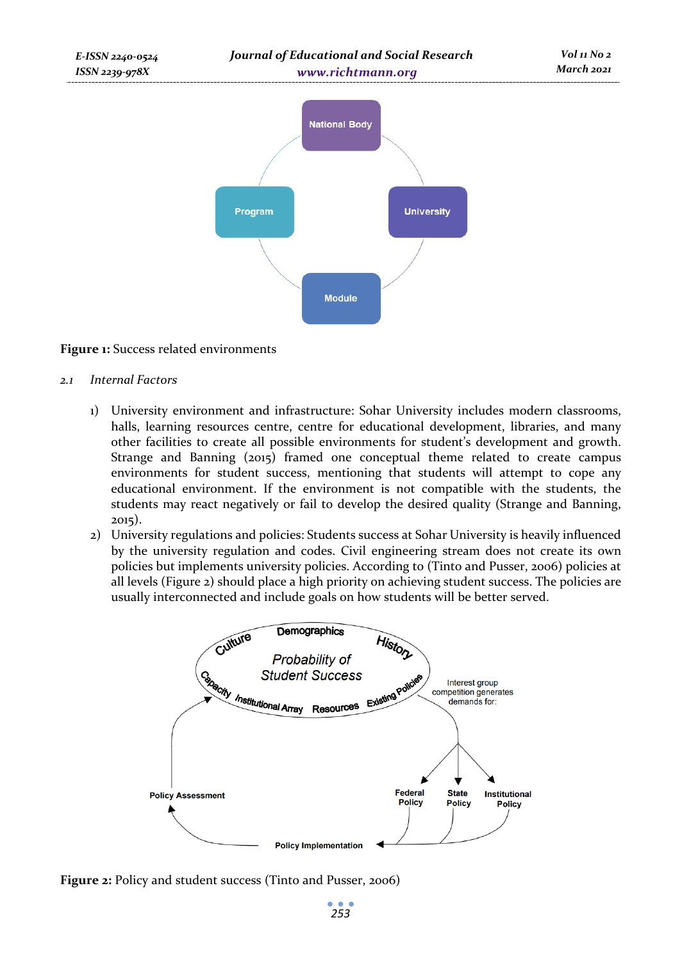

#### **Figure 1:** Success related environments

- *2.1 Internal Factors* 
	- 1) University environment and infrastructure: Sohar University includes modern classrooms, halls, learning resources centre, centre for educational development, libraries, and many other facilities to create all possible environments for student's development and growth. Strange and Banning (2015) framed one conceptual theme related to create campus environments for student success, mentioning that students will attempt to cope any educational environment. If the environment is not compatible with the students, the students may react negatively or fail to develop the desired quality (Strange and Banning, 2015).
	- 2) University regulations and policies: Students success at Sohar University is heavily influenced by the university regulation and codes. Civil engineering stream does not create its own policies but implements university policies. According to (Tinto and Pusser, 2006) policies at all levels (Figure 2) should place a high priority on achieving student success. The policies are usually interconnected and include goals on how students will be better served.



**Figure 2:** Policy and student success (Tinto and Pusser, 2006)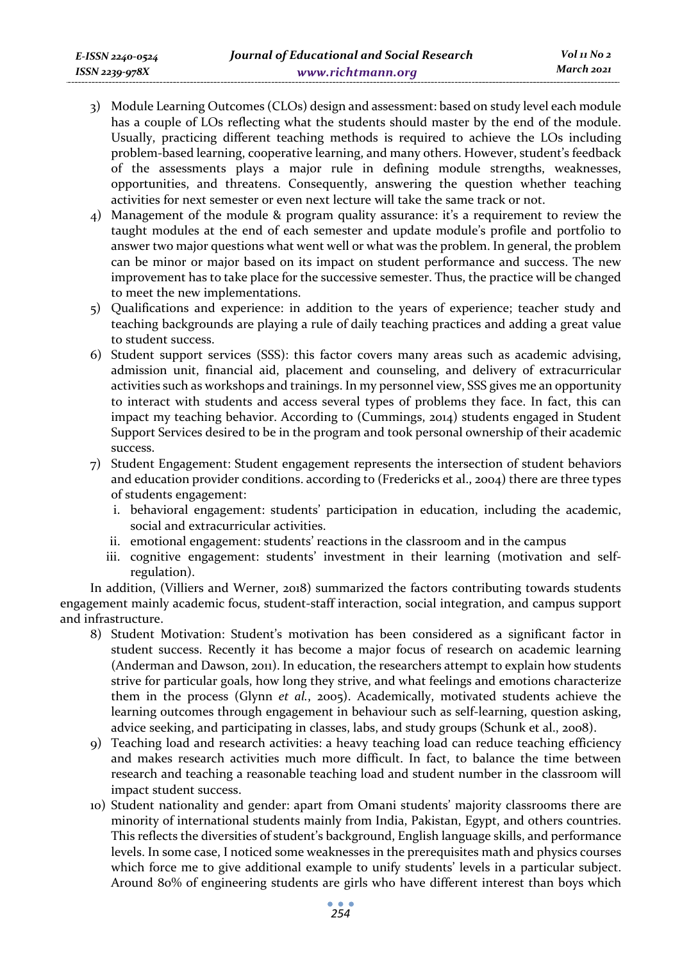- 3) Module Learning Outcomes (CLOs) design and assessment: based on study level each module has a couple of LOs reflecting what the students should master by the end of the module. Usually, practicing different teaching methods is required to achieve the LOs including problem-based learning, cooperative learning, and many others. However, student's feedback of the assessments plays a major rule in defining module strengths, weaknesses, opportunities, and threatens. Consequently, answering the question whether teaching activities for next semester or even next lecture will take the same track or not.
- 4) Management of the module & program quality assurance: it's a requirement to review the taught modules at the end of each semester and update module's profile and portfolio to answer two major questions what went well or what was the problem. In general, the problem can be minor or major based on its impact on student performance and success. The new improvement has to take place for the successive semester. Thus, the practice will be changed to meet the new implementations.
- 5) Qualifications and experience: in addition to the years of experience; teacher study and teaching backgrounds are playing a rule of daily teaching practices and adding a great value to student success.
- 6) Student support services (SSS): this factor covers many areas such as academic advising, admission unit, financial aid, placement and counseling, and delivery of extracurricular activities such as workshops and trainings. In my personnel view, SSS gives me an opportunity to interact with students and access several types of problems they face. In fact, this can impact my teaching behavior. According to (Cummings, 2014) students engaged in Student Support Services desired to be in the program and took personal ownership of their academic success.
- 7) Student Engagement: Student engagement represents the intersection of student behaviors and education provider conditions. according to (Fredericks et al., 2004) there are three types of students engagement:
	- i. behavioral engagement: students' participation in education, including the academic, social and extracurricular activities.
	- ii. emotional engagement: students' reactions in the classroom and in the campus
	- iii. cognitive engagement: students' investment in their learning (motivation and selfregulation).

In addition, (Villiers and Werner, 2018) summarized the factors contributing towards students engagement mainly academic focus, student-staff interaction, social integration, and campus support and infrastructure.

- 8) Student Motivation: Student's motivation has been considered as a significant factor in student success. Recently it has become a major focus of research on academic learning (Anderman and Dawson, 2011). In education, the researchers attempt to explain how students strive for particular goals, how long they strive, and what feelings and emotions characterize them in the process (Glynn *et al.*, 2005). Academically, motivated students achieve the learning outcomes through engagement in behaviour such as self-learning, question asking, advice seeking, and participating in classes, labs, and study groups (Schunk et al., 2008).
- 9) Teaching load and research activities: a heavy teaching load can reduce teaching efficiency and makes research activities much more difficult. In fact, to balance the time between research and teaching a reasonable teaching load and student number in the classroom will impact student success.
- 10) Student nationality and gender: apart from Omani students' majority classrooms there are minority of international students mainly from India, Pakistan, Egypt, and others countries. This reflects the diversities of student's background, English language skills, and performance levels. In some case, I noticed some weaknesses in the prerequisites math and physics courses which force me to give additional example to unify students' levels in a particular subject. Around 80% of engineering students are girls who have different interest than boys which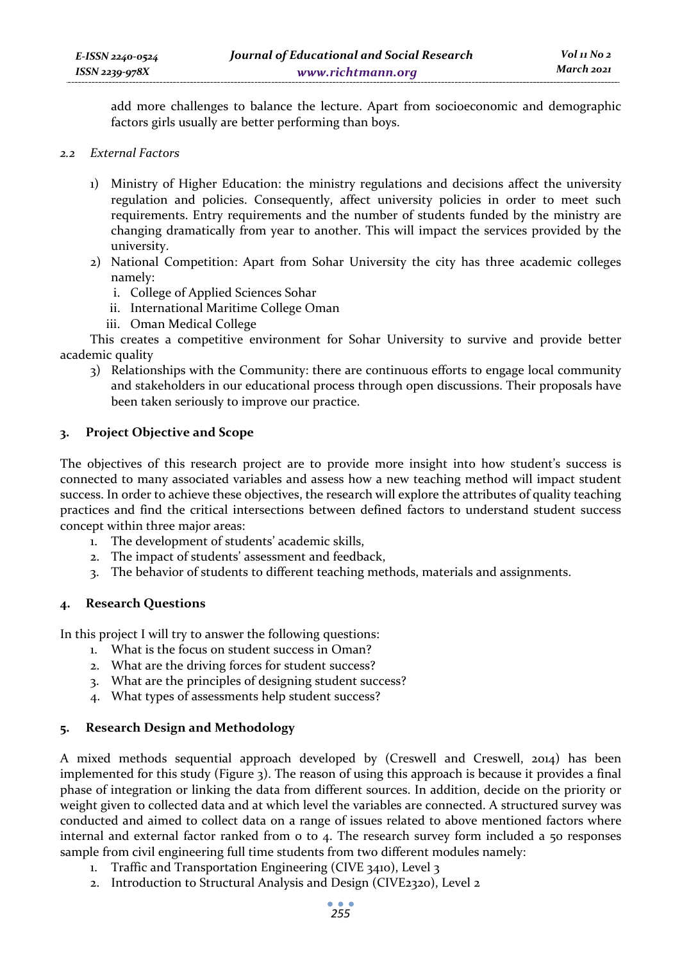add more challenges to balance the lecture. Apart from socioeconomic and demographic factors girls usually are better performing than boys.

- *2.2 External Factors* 
	- 1) Ministry of Higher Education: the ministry regulations and decisions affect the university regulation and policies. Consequently, affect university policies in order to meet such requirements. Entry requirements and the number of students funded by the ministry are changing dramatically from year to another. This will impact the services provided by the university.
	- 2) National Competition: Apart from Sohar University the city has three academic colleges namely:
		- i. College of Applied Sciences Sohar
		- ii. International Maritime College Oman
		- iii. Oman Medical College

This creates a competitive environment for Sohar University to survive and provide better academic quality

3) Relationships with the Community: there are continuous efforts to engage local community and stakeholders in our educational process through open discussions. Their proposals have been taken seriously to improve our practice.

### **3. Project Objective and Scope**

The objectives of this research project are to provide more insight into how student's success is connected to many associated variables and assess how a new teaching method will impact student success. In order to achieve these objectives, the research will explore the attributes of quality teaching practices and find the critical intersections between defined factors to understand student success concept within three major areas:

- 1. The development of students' academic skills,
- 2. The impact of students' assessment and feedback,
- 3. The behavior of students to different teaching methods, materials and assignments.

### **4. Research Questions**

In this project I will try to answer the following questions:

- 1. What is the focus on student success in Oman?
- 2. What are the driving forces for student success?
- 3. What are the principles of designing student success?
- 4. What types of assessments help student success?

## **5. Research Design and Methodology**

A mixed methods sequential approach developed by (Creswell and Creswell, 2014) has been implemented for this study (Figure 3). The reason of using this approach is because it provides a final phase of integration or linking the data from different sources. In addition, decide on the priority or weight given to collected data and at which level the variables are connected. A structured survey was conducted and aimed to collect data on a range of issues related to above mentioned factors where internal and external factor ranked from o to 4. The research survey form included a 50 responses sample from civil engineering full time students from two different modules namely:

- 1. Traffic and Transportation Engineering (CIVE 3410), Level 3
- 2. Introduction to Structural Analysis and Design (CIVE2320), Level 2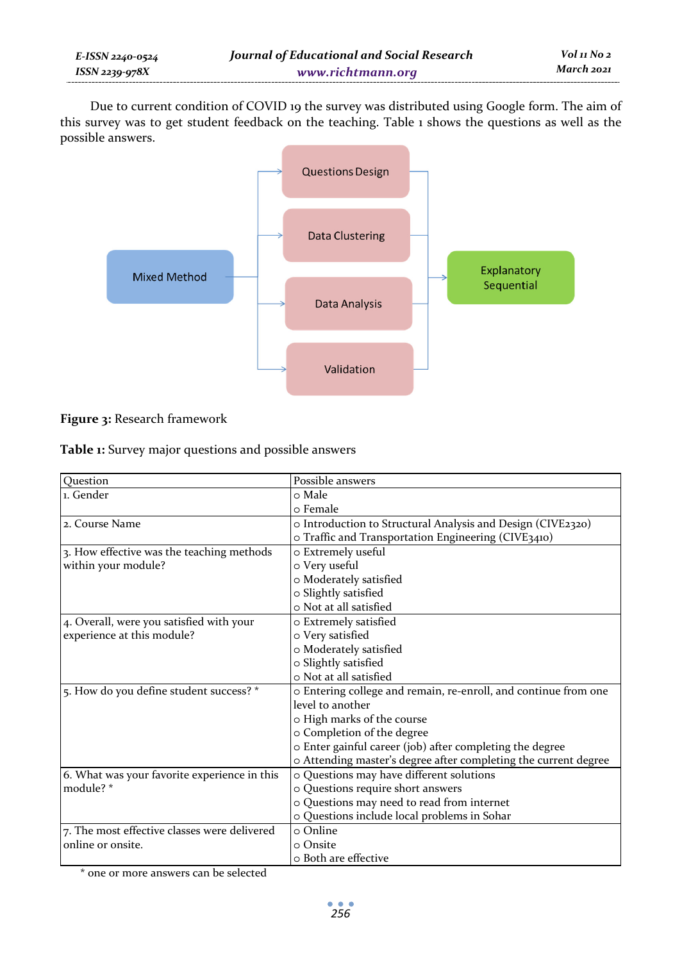Due to current condition of COVID 19 the survey was distributed using Google form. The aim of this survey was to get student feedback on the teaching. Table 1 shows the questions as well as the possible answers.



## **Figure 3:** Research framework

**Table 1:** Survey major questions and possible answers

| Ouestion                                     | Possible answers                                                |
|----------------------------------------------|-----------------------------------------------------------------|
| 1. Gender                                    | o Male                                                          |
|                                              | ⊙ Female                                                        |
| 2. Course Name                               | o Introduction to Structural Analysis and Design (CIVE2320)     |
|                                              | o Traffic and Transportation Engineering (CIVE3410)             |
| 3. How effective was the teaching methods    | 0 Extremely useful                                              |
| within your module?                          | 0 Very useful                                                   |
|                                              | o Moderately satisfied                                          |
|                                              | o Slightly satisfied                                            |
|                                              | o Not at all satisfied                                          |
| 4. Overall, were you satisfied with your     | o Extremely satisfied                                           |
| experience at this module?                   | 0 Very satisfied                                                |
|                                              | o Moderately satisfied                                          |
|                                              | o Slightly satisfied                                            |
|                                              | 0 Not at all satisfied                                          |
| 5. How do you define student success? *      | o Entering college and remain, re-enroll, and continue from one |
|                                              | level to another                                                |
|                                              | o High marks of the course                                      |
|                                              | o Completion of the degree                                      |
|                                              | o Enter gainful career (job) after completing the degree        |
|                                              | o Attending master's degree after completing the current degree |
| 6. What was your favorite experience in this | o Questions may have different solutions                        |
| module?*                                     | o Questions require short answers                               |
|                                              | o Questions may need to read from internet                      |
|                                              | o Questions include local problems in Sohar                     |
| 7. The most effective classes were delivered | ⊙ Online                                                        |
| online or onsite.                            | 0 Onsite                                                        |
|                                              | 0 Both are effective                                            |

\* one or more answers can be selected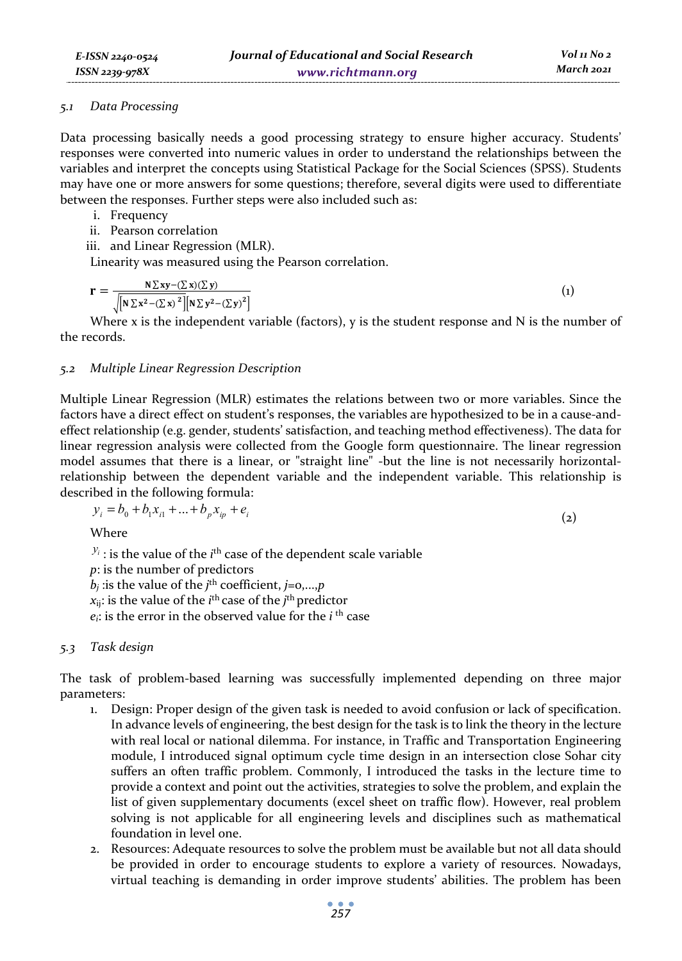#### *5.1 Data Processing*

Data processing basically needs a good processing strategy to ensure higher accuracy. Students' responses were converted into numeric values in order to understand the relationships between the variables and interpret the concepts using Statistical Package for the Social Sciences (SPSS). Students may have one or more answers for some questions; therefore, several digits were used to differentiate between the responses. Further steps were also included such as:

- i. Frequency
- ii. Pearson correlation
- iii. and Linear Regression (MLR).

Linearity was measured using the Pearson correlation.

$$
\mathbf{r} = \frac{\mathbf{N} \Sigma \mathbf{x} \mathbf{y} - (\Sigma \mathbf{x})(\Sigma \mathbf{y})}{\sqrt{\left[\mathbf{N} \Sigma \mathbf{x}^2 - (\Sigma \mathbf{x})^2\right]}\left[\mathbf{N} \Sigma \mathbf{y}^2 - (\Sigma \mathbf{y})^2\right]}
$$
(1)

Where x is the independent variable (factors),  $y$  is the student response and  $N$  is the number of the records.

### *5.2 Multiple Linear Regression Description*

Multiple Linear Regression (MLR) estimates the relations between two or more variables. Since the factors have a direct effect on student's responses, the variables are hypothesized to be in a cause-andeffect relationship (e.g. gender, students' satisfaction, and teaching method effectiveness). The data for linear regression analysis were collected from the Google form questionnaire. The linear regression model assumes that there is a linear, or "straight line" -but the line is not necessarily horizontalrelationship between the dependent variable and the independent variable. This relationship is described in the following formula:

$$
y_i = b_0 + b_1 x_{i1} + \dots + b_p x_{ip} + e_i
$$
 (2)

Where

 $y_i$ : is the value of the *i*<sup>th</sup> case of the dependent scale variable *p*: is the number of predictors  $b_j$  :is the value of the *j*<sup>th</sup> coefficient, *j*=0,...,*p*  $x_{ij}$ : is the value of the *i*<sup>th</sup> case of the *j*<sup>th</sup> predictor  $e_i$ : is the error in the observed value for the  $i$ <sup>th</sup> case

### *5.3 Task design*

The task of problem-based learning was successfully implemented depending on three major parameters:

- 1. Design: Proper design of the given task is needed to avoid confusion or lack of specification. In advance levels of engineering, the best design for the task is to link the theory in the lecture with real local or national dilemma. For instance, in Traffic and Transportation Engineering module, I introduced signal optimum cycle time design in an intersection close Sohar city suffers an often traffic problem. Commonly, I introduced the tasks in the lecture time to provide a context and point out the activities, strategies to solve the problem, and explain the list of given supplementary documents (excel sheet on traffic flow). However, real problem solving is not applicable for all engineering levels and disciplines such as mathematical foundation in level one.
- 2. Resources: Adequate resources to solve the problem must be available but not all data should be provided in order to encourage students to explore a variety of resources. Nowadays, virtual teaching is demanding in order improve students' abilities. The problem has been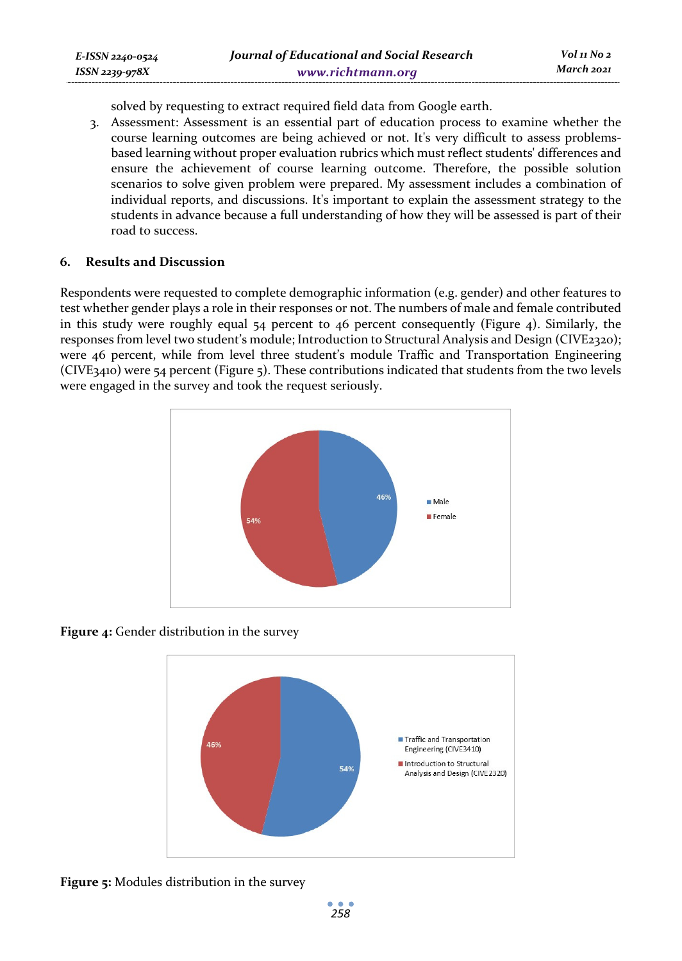solved by requesting to extract required field data from Google earth.

3. Assessment: Assessment is an essential part of education process to examine whether the course learning outcomes are being achieved or not. It's very difficult to assess problemsbased learning without proper evaluation rubrics which must reflect students' differences and ensure the achievement of course learning outcome. Therefore, the possible solution scenarios to solve given problem were prepared. My assessment includes a combination of individual reports, and discussions. It's important to explain the assessment strategy to the students in advance because a full understanding of how they will be assessed is part of their road to success.

### **6. Results and Discussion**

*E-ISSN 2240-0524 ISSN 2239-978X*

Respondents were requested to complete demographic information (e.g. gender) and other features to test whether gender plays a role in their responses or not. The numbers of male and female contributed in this study were roughly equal 54 percent to 46 percent consequently (Figure 4). Similarly, the responses from level two student's module; Introduction to Structural Analysis and Design (CIVE2320); were 46 percent, while from level three student's module Traffic and Transportation Engineering (CIVE3410) were 54 percent (Figure 5). These contributions indicated that students from the two levels were engaged in the survey and took the request seriously.



**Figure 4:** Gender distribution in the survey



**Figure 5:** Modules distribution in the survey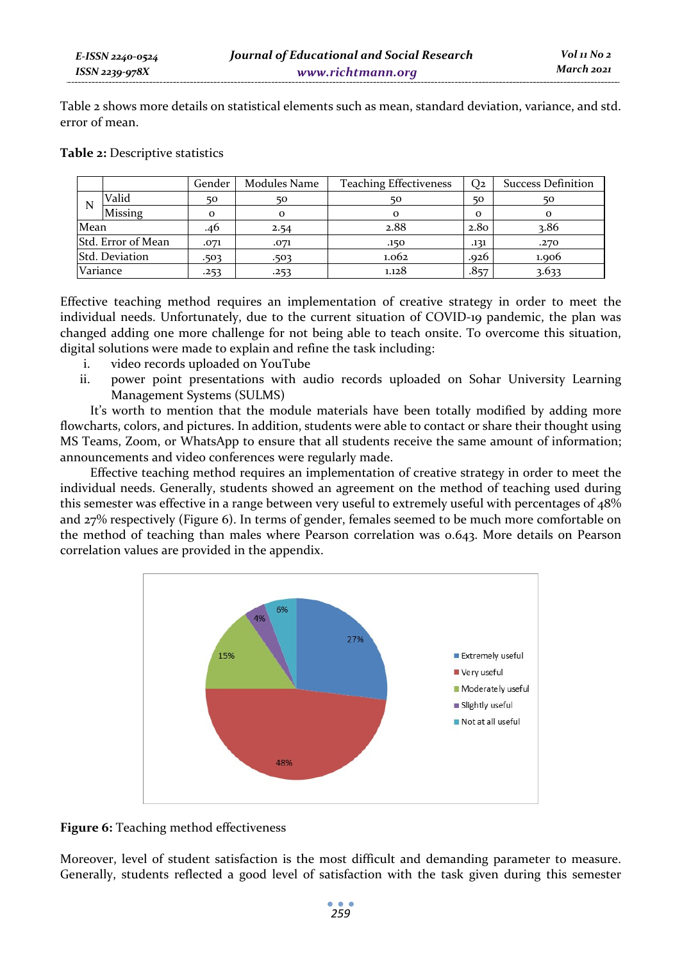Table 2 shows more details on statistical elements such as mean, standard deviation, variance, and std. error of mean.

| Table 2: Descriptive statistics |  |
|---------------------------------|--|
|---------------------------------|--|

|          |                    | Gender   | Modules Name | <b>Teaching Effectiveness</b> | Q2               | <b>Success Definition</b> |
|----------|--------------------|----------|--------------|-------------------------------|------------------|---------------------------|
| N        | Valid              | 50       | 50           | 50                            | 50               | 50                        |
|          | Missing            | $\Omega$ |              |                               | $\Omega$         |                           |
| Mean     |                    | .46      | 2.54         | 2.88                          | 2.8 <sub>0</sub> | 3.86                      |
|          | Std. Error of Mean | .071     | .071         | .150                          | .131             | .270                      |
|          | Std. Deviation     | .503     | .503         | 1.062                         | .926             | 1.006                     |
| Variance |                    | .253     | .253         | 1.128                         | .857             | 3.633                     |

Effective teaching method requires an implementation of creative strategy in order to meet the individual needs. Unfortunately, due to the current situation of COVID-19 pandemic, the plan was changed adding one more challenge for not being able to teach onsite. To overcome this situation, digital solutions were made to explain and refine the task including:

- i. video records uploaded on YouTube
- ii. power point presentations with audio records uploaded on Sohar University Learning Management Systems (SULMS)

It's worth to mention that the module materials have been totally modified by adding more flowcharts, colors, and pictures. In addition, students were able to contact or share their thought using MS Teams, Zoom, or WhatsApp to ensure that all students receive the same amount of information; announcements and video conferences were regularly made.

Effective teaching method requires an implementation of creative strategy in order to meet the individual needs. Generally, students showed an agreement on the method of teaching used during this semester was effective in a range between very useful to extremely useful with percentages of 48% and 27% respectively (Figure 6). In terms of gender, females seemed to be much more comfortable on the method of teaching than males where Pearson correlation was 0.643. More details on Pearson correlation values are provided in the appendix.



**Figure 6:** Teaching method effectiveness

Moreover, level of student satisfaction is the most difficult and demanding parameter to measure. Generally, students reflected a good level of satisfaction with the task given during this semester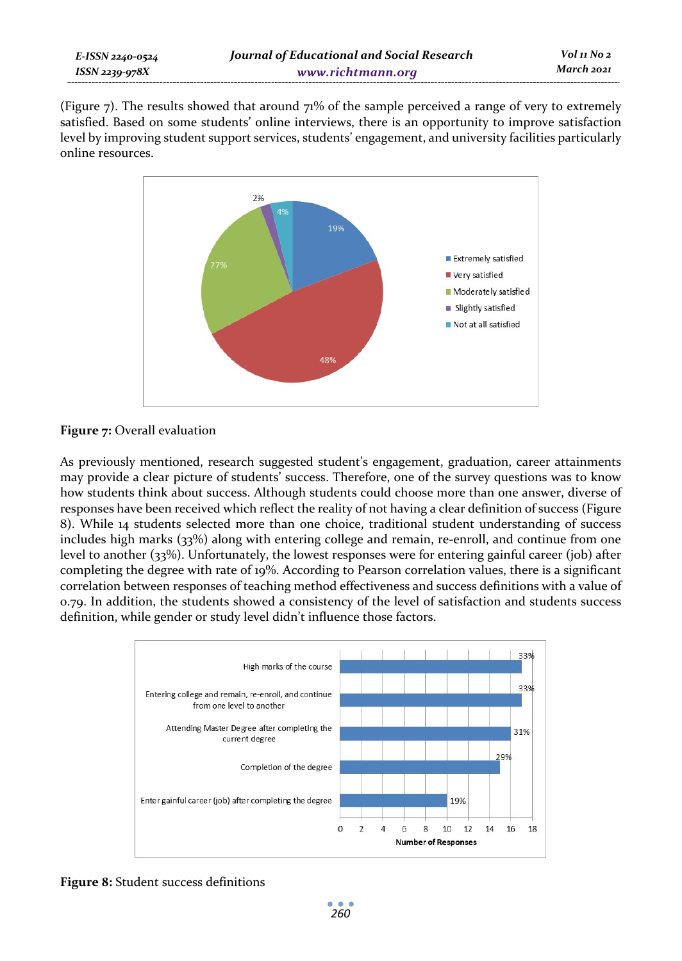(Figure 7). The results showed that around 71% of the sample perceived a range of very to extremely satisfied. Based on some students' online interviews, there is an opportunity to improve satisfaction level by improving student support services, students' engagement, and university facilities particularly online resources.



### **Figure 7:** Overall evaluation

As previously mentioned, research suggested student's engagement, graduation, career attainments may provide a clear picture of students' success. Therefore, one of the survey questions was to know how students think about success. Although students could choose more than one answer, diverse of responses have been received which reflect the reality of not having a clear definition of success (Figure 8). While 14 students selected more than one choice, traditional student understanding of success includes high marks (33%) along with entering college and remain, re-enroll, and continue from one level to another (33%). Unfortunately, the lowest responses were for entering gainful career (job) after completing the degree with rate of 19%. According to Pearson correlation values, there is a significant correlation between responses of teaching method effectiveness and success definitions with a value of 0.79. In addition, the students showed a consistency of the level of satisfaction and students success definition, while gender or study level didn't influence those factors.



**Figure 8:** Student success definitions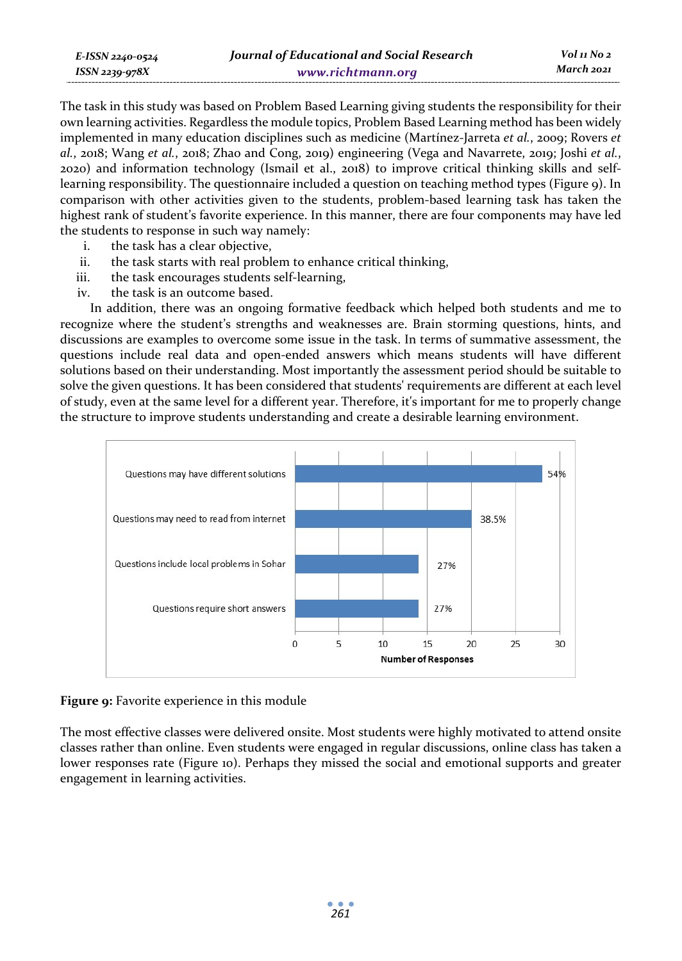| E-ISSN 2240-0524 | Journal of Educational and Social Research | $Vol_1N_2$ |
|------------------|--------------------------------------------|------------|
| ISSN 2239-978X   | www.richtmann.org                          | March 2021 |

The task in this study was based on Problem Based Learning giving students the responsibility for their own learning activities. Regardless the module topics, Problem Based Learning method has been widely implemented in many education disciplines such as medicine (Martínez-Jarreta *et al.*, 2009; Rovers *et al.*, 2018; Wang *et al.*, 2018; Zhao and Cong, 2019) engineering (Vega and Navarrete, 2019; Joshi *et al.*, 2020) and information technology (Ismail et al., 2018) to improve critical thinking skills and selflearning responsibility. The questionnaire included a question on teaching method types (Figure 9). In comparison with other activities given to the students, problem-based learning task has taken the highest rank of student's favorite experience. In this manner, there are four components may have led the students to response in such way namely:

- i. the task has a clear objective,
- ii. the task starts with real problem to enhance critical thinking,
- iii. the task encourages students self-learning,
- iv. the task is an outcome based.

In addition, there was an ongoing formative feedback which helped both students and me to recognize where the student's strengths and weaknesses are. Brain storming questions, hints, and discussions are examples to overcome some issue in the task. In terms of summative assessment, the questions include real data and open-ended answers which means students will have different solutions based on their understanding. Most importantly the assessment period should be suitable to solve the given questions. It has been considered that students' requirements are different at each level of study, even at the same level for a different year. Therefore, it's important for me to properly change the structure to improve students understanding and create a desirable learning environment.



### **Figure 9:** Favorite experience in this module

The most effective classes were delivered onsite. Most students were highly motivated to attend onsite classes rather than online. Even students were engaged in regular discussions, online class has taken a lower responses rate (Figure 10). Perhaps they missed the social and emotional supports and greater engagement in learning activities.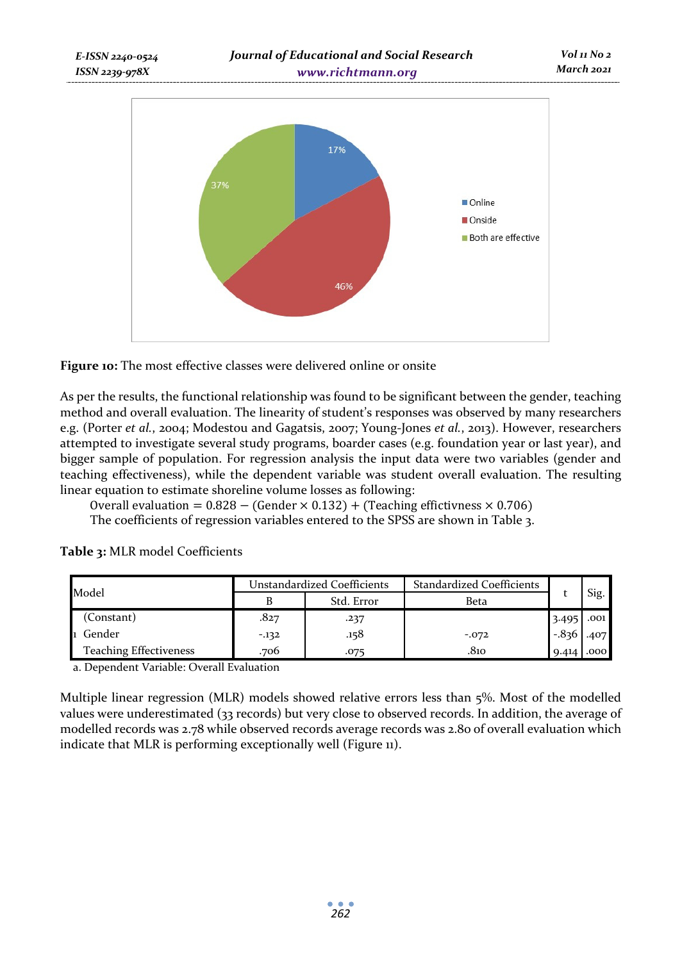



As per the results, the functional relationship was found to be significant between the gender, teaching method and overall evaluation. The linearity of student's responses was observed by many researchers e.g. (Porter *et al.*, 2004; Modestou and Gagatsis, 2007; Young-Jones *et al.*, 2013). However, researchers attempted to investigate several study programs, boarder cases (e.g. foundation year or last year), and bigger sample of population. For regression analysis the input data were two variables (gender and teaching effectiveness), while the dependent variable was student overall evaluation. The resulting linear equation to estimate shoreline volume losses as following:

Overall evaluation =  $0.828 - (Gender \times 0.132) + (Teaching efficiency \times 0.706)$ The coefficients of regression variables entered to the SPSS are shown in Table 3.

| Model                         |        | Unstandardized Coefficients | <b>Standardized Coefficients</b> |             |      |
|-------------------------------|--------|-----------------------------|----------------------------------|-------------|------|
|                               |        | Std. Error                  | Beta                             |             | Sig. |
| (Constant)                    | .827   | .237                        |                                  | 3.495       | .001 |
| Gender                        | $-132$ | .158                        | $-0.072$                         | $-836$ .407 |      |
| <b>Teaching Effectiveness</b> | .706   | .075                        | .810                             | 9.414       | .000 |

**Table 3:** MLR model Coefficients

a. Dependent Variable: Overall Evaluation

Multiple linear regression (MLR) models showed relative errors less than 5%. Most of the modelled values were underestimated (33 records) but very close to observed records. In addition, the average of modelled records was 2.78 while observed records average records was 2.80 of overall evaluation which indicate that MLR is performing exceptionally well (Figure 11).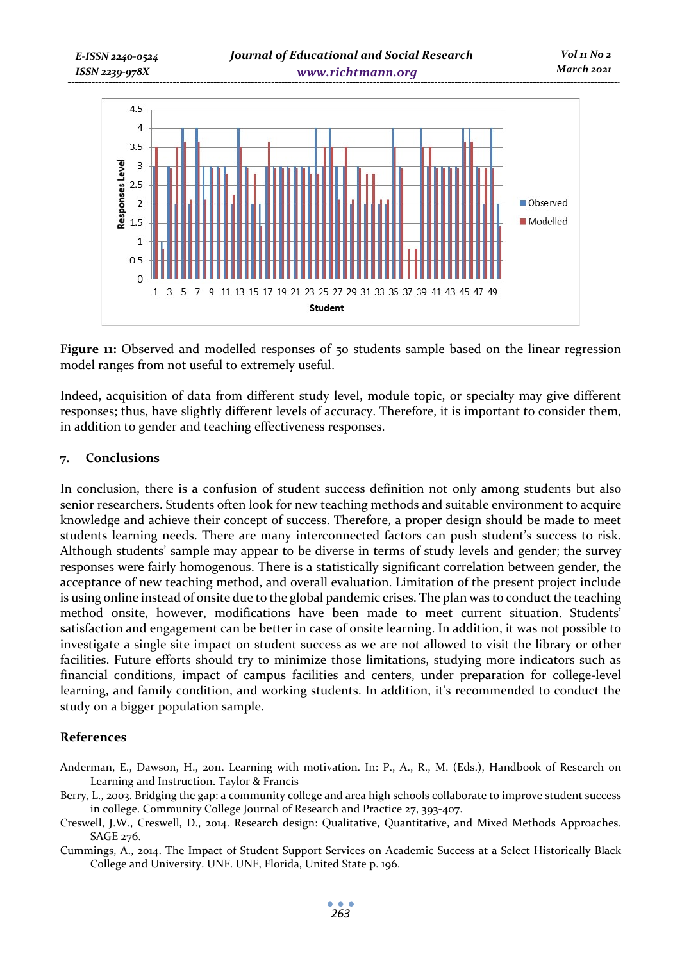

**Figure 11:** Observed and modelled responses of 50 students sample based on the linear regression model ranges from not useful to extremely useful.

Indeed, acquisition of data from different study level, module topic, or specialty may give different responses; thus, have slightly different levels of accuracy. Therefore, it is important to consider them, in addition to gender and teaching effectiveness responses.

#### **7. Conclusions**

In conclusion, there is a confusion of student success definition not only among students but also senior researchers. Students often look for new teaching methods and suitable environment to acquire knowledge and achieve their concept of success. Therefore, a proper design should be made to meet students learning needs. There are many interconnected factors can push student's success to risk. Although students' sample may appear to be diverse in terms of study levels and gender; the survey responses were fairly homogenous. There is a statistically significant correlation between gender, the acceptance of new teaching method, and overall evaluation. Limitation of the present project include is using online instead of onsite due to the global pandemic crises. The plan was to conduct the teaching method onsite, however, modifications have been made to meet current situation. Students' satisfaction and engagement can be better in case of onsite learning. In addition, it was not possible to investigate a single site impact on student success as we are not allowed to visit the library or other facilities. Future efforts should try to minimize those limitations, studying more indicators such as financial conditions, impact of campus facilities and centers, under preparation for college-level learning, and family condition, and working students. In addition, it's recommended to conduct the study on a bigger population sample.

### **References**

- Anderman, E., Dawson, H., 2011. Learning with motivation. In: P., A., R., M. (Eds.), Handbook of Research on Learning and Instruction. Taylor & Francis
- Berry, L., 2003. Bridging the gap: a community college and area high schools collaborate to improve student success in college. Community College Journal of Research and Practice 27, 393-407.
- Creswell, J.W., Creswell, D., 2014. Research design: Qualitative, Quantitative, and Mixed Methods Approaches. SAGE 276.

Cummings, A., 2014. The Impact of Student Support Services on Academic Success at a Select Historically Black College and University. UNF. UNF, Florida, United State p. 196.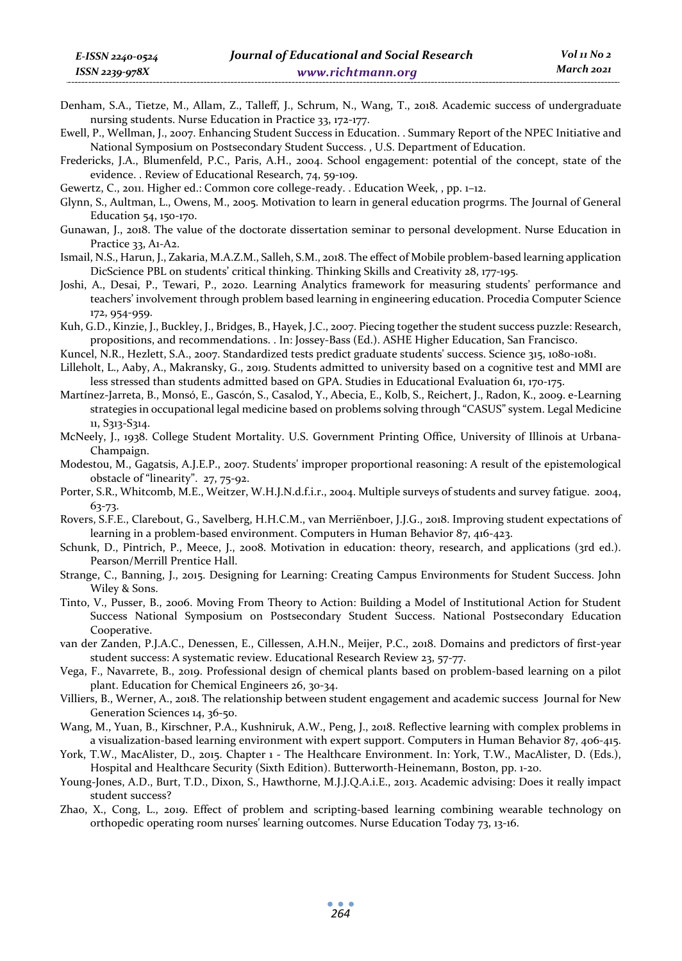- Denham, S.A., Tietze, M., Allam, Z., Talleff, J., Schrum, N., Wang, T., 2018. Academic success of undergraduate nursing students. Nurse Education in Practice 33, 172-177.
- Ewell, P., Wellman, J., 2007. Enhancing Student Success in Education. . Summary Report of the NPEC Initiative and National Symposium on Postsecondary Student Success. , U.S. Department of Education.

Fredericks, J.A., Blumenfeld, P.C., Paris, A.H., 2004. School engagement: potential of the concept, state of the evidence. . Review of Educational Research, 74, 59-109.

Gewertz, C., 2011. Higher ed.: Common core college-ready. . Education Week, , pp. 1–12.

- Glynn, S., Aultman, L., Owens, M., 2005. Motivation to learn in general education progrms. The Journal of General Education 54, 150-170.
- Gunawan, J., 2018. The value of the doctorate dissertation seminar to personal development. Nurse Education in Practice 33, A1-A2.
- Ismail, N.S., Harun, J., Zakaria, M.A.Z.M., Salleh, S.M., 2018. The effect of Mobile problem-based learning application DicScience PBL on students' critical thinking. Thinking Skills and Creativity 28, 177-195.
- Joshi, A., Desai, P., Tewari, P., 2020. Learning Analytics framework for measuring students' performance and teachers' involvement through problem based learning in engineering education. Procedia Computer Science 172, 954-959.
- Kuh, G.D., Kinzie, J., Buckley, J., Bridges, B., Hayek, J.C., 2007. Piecing together the student success puzzle: Research, propositions, and recommendations. . In: Jossey-Bass (Ed.). ASHE Higher Education, San Francisco.
- Kuncel, N.R., Hezlett, S.A., 2007. Standardized tests predict graduate students' success. Science 315, 1080-1081.
- Lilleholt, L., Aaby, A., Makransky, G., 2019. Students admitted to university based on a cognitive test and MMI are less stressed than students admitted based on GPA. Studies in Educational Evaluation 61, 170-175.
- Martínez-Jarreta, B., Monsó, E., Gascón, S., Casalod, Y., Abecia, E., Kolb, S., Reichert, J., Radon, K., 2009. e-Learning strategies in occupational legal medicine based on problems solving through "CASUS" system. Legal Medicine 11, S313-S314.
- McNeely, J., 1938. College Student Mortality. U.S. Government Printing Office, University of Illinois at Urbana-Champaign.
- Modestou, M., Gagatsis, A.J.E.P., 2007. Students' improper proportional reasoning: A result of the epistemological obstacle of "linearity". 27, 75-92.
- Porter, S.R., Whitcomb, M.E., Weitzer, W.H.J.N.d.f.i.r., 2004. Multiple surveys of students and survey fatigue. 2004, 63-73.
- Rovers, S.F.E., Clarebout, G., Savelberg, H.H.C.M., van Merriënboer, J.J.G., 2018. Improving student expectations of learning in a problem-based environment. Computers in Human Behavior 87, 416-423.
- Schunk, D., Pintrich, P., Meece, J., 2008. Motivation in education: theory, research, and applications (3rd ed.). Pearson/Merrill Prentice Hall.
- Strange, C., Banning, J., 2015. Designing for Learning: Creating Campus Environments for Student Success. John Wiley & Sons.
- Tinto, V., Pusser, B., 2006. Moving From Theory to Action: Building a Model of Institutional Action for Student Success National Symposium on Postsecondary Student Success. National Postsecondary Education Cooperative.
- van der Zanden, P.J.A.C., Denessen, E., Cillessen, A.H.N., Meijer, P.C., 2018. Domains and predictors of first-year student success: A systematic review. Educational Research Review 23, 57-77.
- Vega, F., Navarrete, B., 2019. Professional design of chemical plants based on problem-based learning on a pilot plant. Education for Chemical Engineers 26, 30-34.
- Villiers, B., Werner, A., 2018. The relationship between student engagement and academic success Journal for New Generation Sciences 14, 36-50.
- Wang, M., Yuan, B., Kirschner, P.A., Kushniruk, A.W., Peng, J., 2018. Reflective learning with complex problems in a visualization-based learning environment with expert support. Computers in Human Behavior 87, 406-415.
- York, T.W., MacAlister, D., 2015. Chapter 1 The Healthcare Environment. In: York, T.W., MacAlister, D. (Eds.), Hospital and Healthcare Security (Sixth Edition). Butterworth-Heinemann, Boston, pp. 1-20.
- Young-Jones, A.D., Burt, T.D., Dixon, S., Hawthorne, M.J.J.Q.A.i.E., 2013. Academic advising: Does it really impact student success?
- Zhao, X., Cong, L., 2019. Effect of problem and scripting-based learning combining wearable technology on orthopedic operating room nurses' learning outcomes. Nurse Education Today 73, 13-16.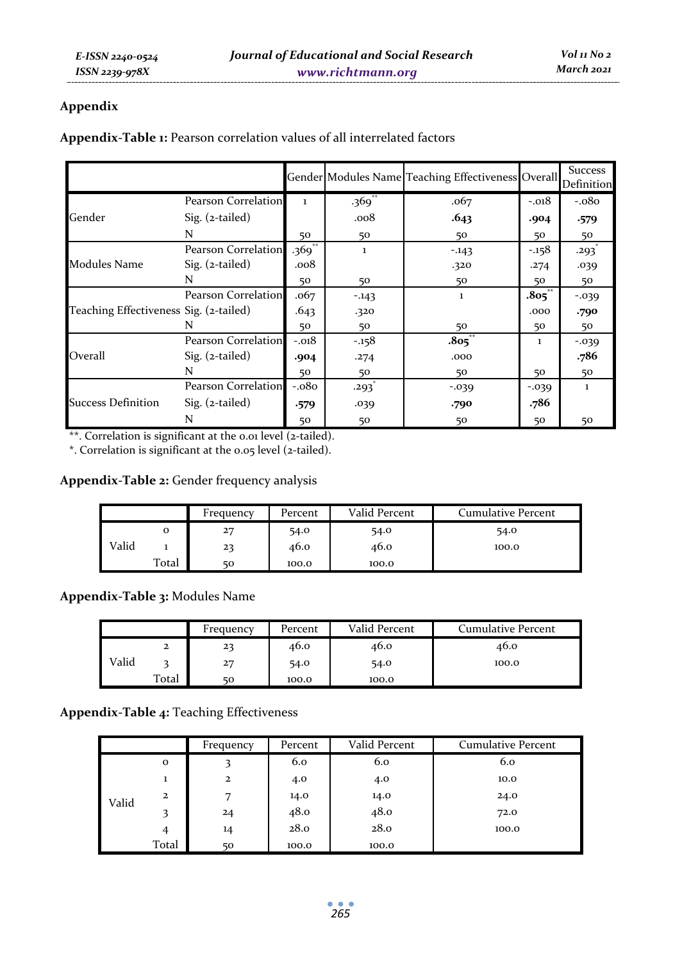## **Appendix**

|                                        |                     |                     |              | Gender Modules Name Teaching Effectiveness Overall |              | <b>Success</b><br>Definition |
|----------------------------------------|---------------------|---------------------|--------------|----------------------------------------------------|--------------|------------------------------|
|                                        | Pearson Correlation | $\mathbf{1}$        | $.369$ **    | .067                                               | $-.018$      | $-.080$                      |
| Gender                                 | Sig. (2-tailed)     |                     | .008         | .643                                               | .904         | .579                         |
|                                        | N                   | 50                  | 50           | 50                                                 | 50           | 50                           |
|                                        | Pearson Correlation | $.369$ <sup>*</sup> | $\mathbf{1}$ | $-.143$                                            | $-.158$      | .293                         |
| Modules Name                           | $Sig. (z-tailed)$   | .008                |              | .320                                               | .274         | .039                         |
|                                        | N                   | 50                  | 50           | 50                                                 | 50           | 50                           |
|                                        | Pearson Correlation | .067                | $-143$       | 1                                                  | .805         | $-0.039$                     |
| Teaching Effectiveness Sig. (2-tailed) |                     | .643                | .320         |                                                    | .000         | .790                         |
|                                        | N                   | 50                  | 50           | 50                                                 | 50           | 50                           |
|                                        | Pearson Correlation | $-.018$             | $-.158$      | $.805$ **                                          | $\mathbf{1}$ | $-0.039$                     |
| Overall                                | $Sig. (z-tailed)$   | .904                | .274         | .000                                               |              | .786                         |
|                                        | N                   | 50                  | 50           | 50                                                 | 50           | 50                           |
|                                        | Pearson Correlation | $-.080$             | .293         | $-0.039$                                           | $-0.039$     | $\mathbf{1}$                 |
| <b>Success Definition</b>              | $Sig. (z-tailed)$   | .579                | .039         | .790                                               | .786         |                              |
|                                        | N                   | 50                  | 50           | 50                                                 | 50           | 50                           |

**Appendix-Table 1:** Pearson correlation values of all interrelated factors

\*\*. Correlation is significant at the 0.01 level (2-tailed).

\*. Correlation is significant at the 0.05 level (2-tailed).

**Appendix-Table 2:** Gender frequency analysis

|       |       | Frequency | Percent | Valid Percent | Cumulative Percent |
|-------|-------|-----------|---------|---------------|--------------------|
|       | o     | 27        | 54.0    | 54.0          | 54.0               |
| Valid |       | 23        | 46.0    | 46.0          | 100.0              |
|       | Total | 50        | 100.0   | 100.0         |                    |

**Appendix-Table 3:** Modules Name

|       |       | Frequency | Percent | Valid Percent | Cumulative Percent |
|-------|-------|-----------|---------|---------------|--------------------|
|       | 2     | 23        | 46.0    | 46.0          | 46.0               |
| Valid |       | 27        | 54.0    | 54.0          | 100.0              |
|       | Total | 50        | 100.0   | 100.0         |                    |

## **Appendix-Table 4:** Teaching Effectiveness

|       |              | Frequency    | Percent | Valid Percent | <b>Cumulative Percent</b> |
|-------|--------------|--------------|---------|---------------|---------------------------|
|       | $\mathbf{o}$ | 3            | 6.0     | 6.0           | 6.0                       |
|       | 1            | $\mathbf{z}$ | 4.0     | 4.0           | 10.0                      |
| Valid | $\mathbf{2}$ | 7            | 14.0    | 14.0          | 24.0                      |
|       | 3            | $^{24}$      | 48.0    | 48.0          | 72.0                      |
|       | 4            | 14           | 28.0    | 28.0          | 100.0                     |
|       | Total        | 50           | 100.0   | 100.0         |                           |